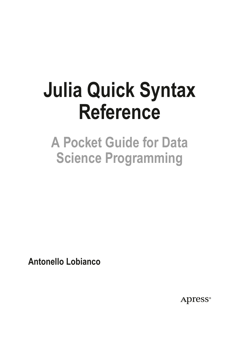# **Julia Quick Syntax Reference**

**A Pocket Guide for Data Science Programming**

**Antonello Lobianco**

Apress<sup>®</sup>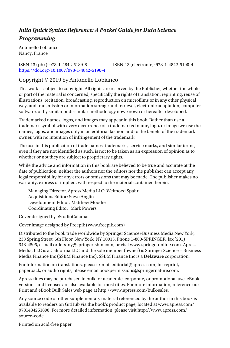#### *Julia Quick Syntax Reference: A Pocket Guide for Data Science*

#### *Programming*

Antonello Lobianco Nancy, France

#### ISBN-13 (pbk): 978-1-4842-5189-8 ISBN-13 (electronic): 978-1-4842-5190-4 <https://doi.org/10.1007/978-1-4842-5190-4>

#### Copyright © 2019 by Antonello Lobianco

This work is subject to copyright. All rights are reserved by the Publisher, whether the whole or part of the material is concerned, specifically the rights of translation, reprinting, reuse of illustrations, recitation, broadcasting, reproduction on microfilms or in any other physical way, and transmission or information storage and retrieval, electronic adaptation, computer software, or by similar or dissimilar methodology now known or hereafter developed.

Trademarked names, logos, and images may appear in this book. Rather than use a trademark symbol with every occurrence of a trademarked name, logo, or image we use the names, logos, and images only in an editorial fashion and to the benefit of the trademark owner, with no intention of infringement of the trademark.

The use in this publication of trade names, trademarks, service marks, and similar terms, even if they are not identified as such, is not to be taken as an expression of opinion as to whether or not they are subject to proprietary rights.

While the advice and information in this book are believed to be true and accurate at the date of publication, neither the authors nor the editors nor the publisher can accept any legal responsibility for any errors or omissions that may be made. The publisher makes no warranty, express or implied, with respect to the material contained herein.

Managing Director, Apress Media LLC: Welmoed Spahr Acquisitions Editor: Steve Anglin Development Editor: Matthew Moodie Coordinating Editor: Mark Powers

Cover designed by eStudioCalamar

Cover image designed by Freepik (www.freepik.com)

Distributed to the book trade worldwide by Springer Science+Business Media New York, 233 Spring Street, 6th Floor, New York, NY 10013. Phone 1-800-SPRINGER, fax (201) 348-4505, e-mail orders-ny@springer-sbm.com, or visit www.springeronline.com. Apress Media, LLC is a California LLC and the sole member (owner) is Springer Science + Business Media Finance Inc (SSBM Finance Inc). SSBM Finance Inc is a **Delaware** corporation.

For information on translations, please e-mail editorial@apress.com; for reprint, paperback, or audio rights, please email bookpermissions@springernature.com.

Apress titles may be purchased in bulk for academic, corporate, or promotional use. eBook versions and licenses are also available for most titles. For more information, reference our Print and eBook Bulk Sales web page at http://www.apress.com/bulk-sales.

Any source code or other supplementary material referenced by the author in this book is available to readers on GitHub via the book's product page, located at www.apress.com/ 9781484251898. For more detailed information, please visit http://www.apress.com/ source-code.

Printed on acid-free paper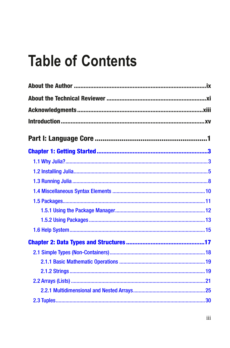## **Table of Contents**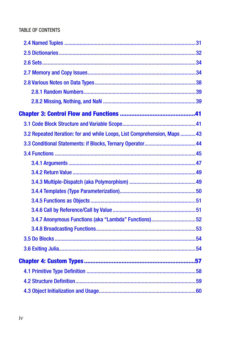#### **TABLE OF CONTENTS**

| 3.2 Repeated Iteration: for and while Loops, List Comprehension, Maps  43 |  |
|---------------------------------------------------------------------------|--|
|                                                                           |  |
|                                                                           |  |
|                                                                           |  |
|                                                                           |  |
|                                                                           |  |
|                                                                           |  |
|                                                                           |  |
|                                                                           |  |
| 3.4.7 Anonymous Functions (aka "Lambda" Functions)52                      |  |
|                                                                           |  |
|                                                                           |  |
|                                                                           |  |
|                                                                           |  |
|                                                                           |  |
|                                                                           |  |
|                                                                           |  |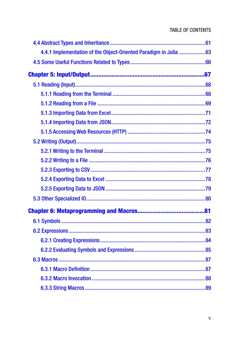#### **TABLE OF CONTENTS**

| 4.4.1 Implementation of the Object-Oriented Paradigm in Julia  63 |  |
|-------------------------------------------------------------------|--|
|                                                                   |  |
|                                                                   |  |
|                                                                   |  |
|                                                                   |  |
|                                                                   |  |
|                                                                   |  |
|                                                                   |  |
|                                                                   |  |
|                                                                   |  |
|                                                                   |  |
|                                                                   |  |
|                                                                   |  |
|                                                                   |  |
|                                                                   |  |
|                                                                   |  |
|                                                                   |  |
|                                                                   |  |
|                                                                   |  |
|                                                                   |  |
|                                                                   |  |
|                                                                   |  |
|                                                                   |  |
|                                                                   |  |
|                                                                   |  |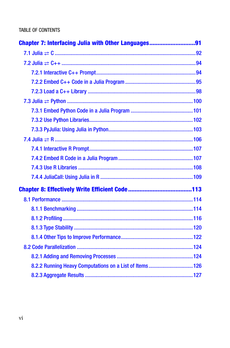| Chapter 7: Interfacing Julia with Other Languages91 |  |
|-----------------------------------------------------|--|
|                                                     |  |
|                                                     |  |
|                                                     |  |
|                                                     |  |
|                                                     |  |
|                                                     |  |
|                                                     |  |
|                                                     |  |
|                                                     |  |
|                                                     |  |
|                                                     |  |
|                                                     |  |
|                                                     |  |
|                                                     |  |
|                                                     |  |
|                                                     |  |
|                                                     |  |
|                                                     |  |
|                                                     |  |
|                                                     |  |
|                                                     |  |
|                                                     |  |
|                                                     |  |
|                                                     |  |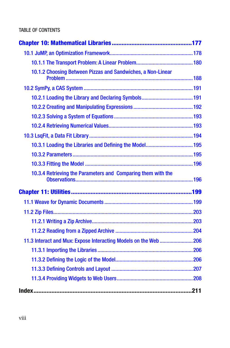#### **TABLE OF CONTENTS**

| 10.1.2 Choosing Between Pizzas and Sandwiches, a Non-Linear    |  |
|----------------------------------------------------------------|--|
|                                                                |  |
|                                                                |  |
|                                                                |  |
|                                                                |  |
|                                                                |  |
|                                                                |  |
|                                                                |  |
|                                                                |  |
|                                                                |  |
| 10.3.4 Retrieving the Parameters and Comparing them with the   |  |
|                                                                |  |
|                                                                |  |
|                                                                |  |
|                                                                |  |
|                                                                |  |
| 11.3 Interact and Mux: Expose Interacting Models on the Web206 |  |
|                                                                |  |
|                                                                |  |
|                                                                |  |
|                                                                |  |
|                                                                |  |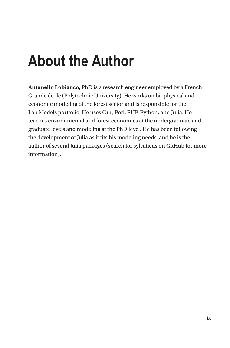## **About the Author**

**Antonello Lobianco**, PhD is a research engineer employed by a French Grande école (Polytechnic University). He works on biophysical and economic modeling of the forest sector and is responsible for the Lab Models portfolio. He uses C++, Perl, PHP, Python, and Julia. He teaches environmental and forest economics at the undergraduate and graduate levels and modeling at the PhD level. He has been following the development of Julia as it fits his modeling needs, and he is the author of several Julia packages (search for sylvaticus on GitHub for more information).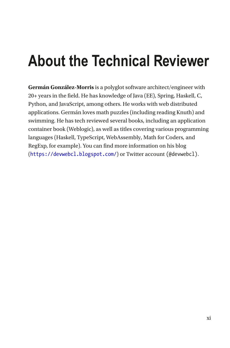## **About the Technical Reviewer**

**Germán González-Morris** is a polyglot software architect/engineer with 20+ years in the field. He has knowledge of Java (EE), Spring, Haskell, C, Python, and JavaScript, among others. He works with web distributed applications. Germán loves math puzzles (including reading Knuth) and swimming. He has tech reviewed several books, including an application container book (Weblogic), as well as titles covering various programming languages (Haskell, TypeScript, WebAssembly, Math for Coders, and RegExp, for example). You can find more information on his blog (<https://devwebcl.blogspot.com/>) or Twitter account (@devwebcl).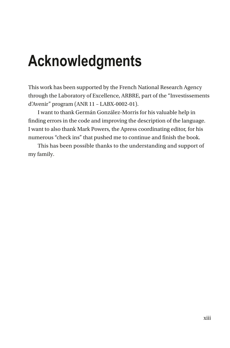### **Acknowledgments**

This work has been supported by the French National Research Agency through the Laboratory of Excellence, ARBRE, part of the "Investissements d'Avenir" program (ANR 11 – LABX-0002-01).

I want to thank Germán González-Morris for his valuable help in finding errors in the code and improving the description of the language. I want to also thank Mark Powers, the Apress coordinating editor, for his numerous "check ins" that pushed me to continue and finish the book.

This has been possible thanks to the understanding and support of my family.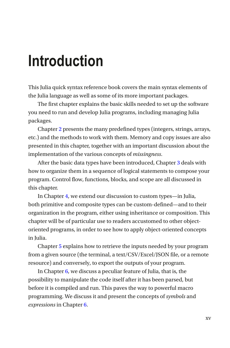### **Introduction**

This Julia quick syntax reference book covers the main syntax elements of the Julia language as well as some of its more important packages.

The first chapter explains the basic skills needed to set up the software you need to run and develop Julia programs, including managing Julia packages.

Chapter [2](https://doi.org/10.1007/978-1-4842-5190-4_2) presents the many predefined types (integers, strings, arrays, etc.) and the methods to work with them. Memory and copy issues are also presented in this chapter, together with an important discussion about the implementation of the various concepts of *missingness*.

After the basic data types have been introduced, Chapter [3](https://doi.org/10.1007/978-1-4842-5190-4_3) deals with how to organize them in a sequence of logical statements to compose your program. Control flow, functions, blocks, and scope are all discussed in this chapter.

In Chapter [4,](https://doi.org/10.1007/978-1-4842-5190-4_4) we extend our discussion to custom types—in Julia, both primitive and composite types can be custom-defined—and to their organization in the program, either using inheritance or composition. This chapter will be of particular use to readers accustomed to other objectoriented programs, in order to see how to apply object-oriented concepts in Julia.

Chapter [5](https://doi.org/10.1007/978-1-4842-5190-4_5) explains how to retrieve the inputs needed by your program from a given source (the terminal, a text/CSV/Excel/JSON file, or a remote resource) and conversely, to export the outputs of your program.

In Chapter [6,](https://doi.org/10.1007/978-1-4842-5190-4_6) we discuss a peculiar feature of Julia, that is, the possibility to manipulate the code itself after it has been parsed, but before it is compiled and run. This paves the way to powerful macro programming. We discuss it and present the concepts of *symbols* and *expressions* in Chapter [6.](https://doi.org/10.1007/978-1-4842-5190-4_6)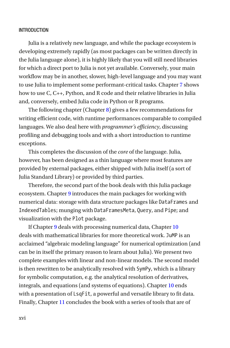#### **INTRODUCTION**

Julia is a relatively new language, and while the package ecosystem is developing extremely rapidly (as most packages can be written directly in the Julia language alone), it is highly likely that you will still need libraries for which a direct port to Julia is not yet available. Conversely, your main workflow may be in another, slower, high-level language and you may want to use Julia to implement some performant-critical tasks. Chapter [7](https://doi.org/10.1007/978-1-4842-5190-4_7) shows how to use C, C++, Python, and R code and their relative libraries in Julia and, conversely, embed Julia code in Python or R programs.

The following chapter (Chapter  $\theta$ ) gives a few recommendations for writing efficient code, with runtime performances comparable to compiled languages. We also deal here with *programmer's efficiency*, discussing profiling and debugging tools and with a short introduction to runtime exceptions.

This completes the discussion of the *core* of the language. Julia, however, has been designed as a thin language where most features are provided by external packages, either shipped with Julia itself (a sort of Julia Standard Library) or provided by third parties.

Therefore, the second part of the book deals with this Julia package ecosystem. Chapter [9](https://doi.org/10.1007/978-1-4842-5190-4_9) introduces the main packages for working with numerical data: storage with data structure packages like DataFrames and IndexedTables; munging with DataFramesMeta, Query, and Pipe; and visualization with the Plot package.

If Chapter [9](https://doi.org/10.1007/978-1-4842-5190-4_9) deals with processing numerical data, Chapter [10](https://doi.org/10.1007/978-1-4842-5190-4_10) deals with mathematical libraries for more theoretical work. JuMP is an acclaimed "algebraic modeling language" for numerical optimization (and can be in itself the primary reason to learn about Julia). We present two complete examples with linear and non-linear models. The second model is then rewritten to be analytically resolved with SymPy, which is a library for symbolic computation, e.g. the analytical resolution of derivatives, integrals, and equations (and systems of equations). Chapter [10](https://doi.org/10.1007/978-1-4842-5190-4_10) ends with a presentation of  $L$ sqFit, a powerful and versatile library to fit data. Finally, Chapter [11](https://doi.org/10.1007/978-1-4842-5190-4_11) concludes the book with a series of tools that are of